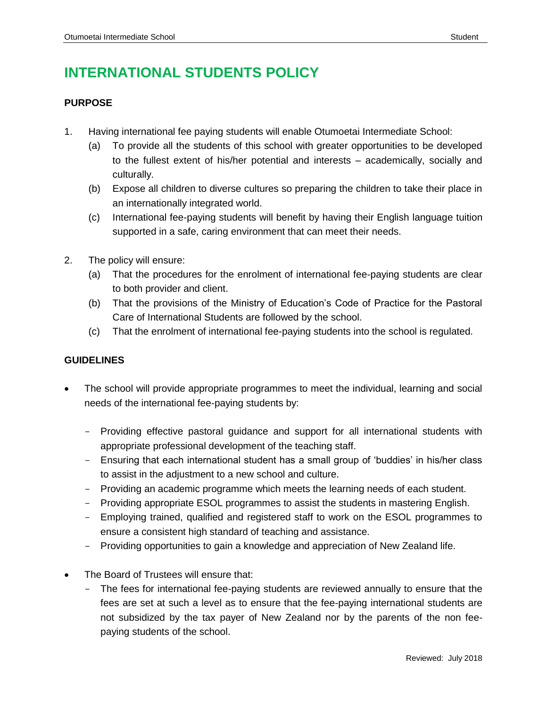# **INTERNATIONAL STUDENTS POLICY**

## **PURPOSE**

- 1. Having international fee paying students will enable Otumoetai Intermediate School:
	- (a) To provide all the students of this school with greater opportunities to be developed to the fullest extent of his/her potential and interests – academically, socially and culturally.
	- (b) Expose all children to diverse cultures so preparing the children to take their place in an internationally integrated world.
	- (c) International fee-paying students will benefit by having their English language tuition supported in a safe, caring environment that can meet their needs.
- 2. The policy will ensure:
	- (a) That the procedures for the enrolment of international fee-paying students are clear to both provider and client.
	- (b) That the provisions of the Ministry of Education's Code of Practice for the Pastoral Care of International Students are followed by the school.
	- (c) That the enrolment of international fee-paying students into the school is regulated.

#### **GUIDELINES**

- The school will provide appropriate programmes to meet the individual, learning and social needs of the international fee-paying students by:
	- Providing effective pastoral guidance and support for all international students with appropriate professional development of the teaching staff.
	- Ensuring that each international student has a small group of 'buddies' in his/her class to assist in the adjustment to a new school and culture.
	- Providing an academic programme which meets the learning needs of each student.
	- Providing appropriate ESOL programmes to assist the students in mastering English.
	- Employing trained, qualified and registered staff to work on the ESOL programmes to ensure a consistent high standard of teaching and assistance.
	- Providing opportunities to gain a knowledge and appreciation of New Zealand life.
- The Board of Trustees will ensure that:
	- The fees for international fee-paying students are reviewed annually to ensure that the fees are set at such a level as to ensure that the fee-paying international students are not subsidized by the tax payer of New Zealand nor by the parents of the non feepaying students of the school.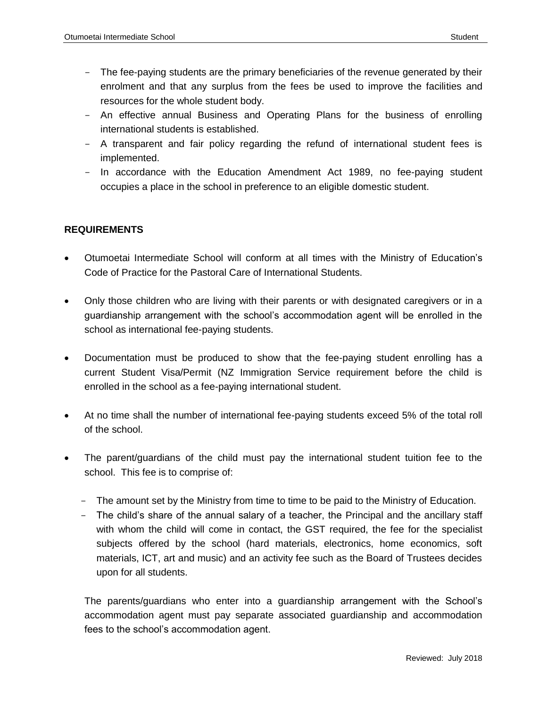- The fee-paying students are the primary beneficiaries of the revenue generated by their enrolment and that any surplus from the fees be used to improve the facilities and resources for the whole student body.
- An effective annual Business and Operating Plans for the business of enrolling international students is established.
- A transparent and fair policy regarding the refund of international student fees is implemented.
- In accordance with the Education Amendment Act 1989, no fee-paying student occupies a place in the school in preference to an eligible domestic student.

## **REQUIREMENTS**

- Otumoetai Intermediate School will conform at all times with the Ministry of Education's Code of Practice for the Pastoral Care of International Students.
- Only those children who are living with their parents or with designated caregivers or in a guardianship arrangement with the school's accommodation agent will be enrolled in the school as international fee-paying students.
- Documentation must be produced to show that the fee-paying student enrolling has a current Student Visa/Permit (NZ Immigration Service requirement before the child is enrolled in the school as a fee-paying international student.
- At no time shall the number of international fee-paying students exceed 5% of the total roll of the school.
- The parent/guardians of the child must pay the international student tuition fee to the school. This fee is to comprise of:
	- The amount set by the Ministry from time to time to be paid to the Ministry of Education.
	- The child's share of the annual salary of a teacher, the Principal and the ancillary staff with whom the child will come in contact, the GST required, the fee for the specialist subjects offered by the school (hard materials, electronics, home economics, soft materials, ICT, art and music) and an activity fee such as the Board of Trustees decides upon for all students.

The parents/guardians who enter into a guardianship arrangement with the School's accommodation agent must pay separate associated guardianship and accommodation fees to the school's accommodation agent.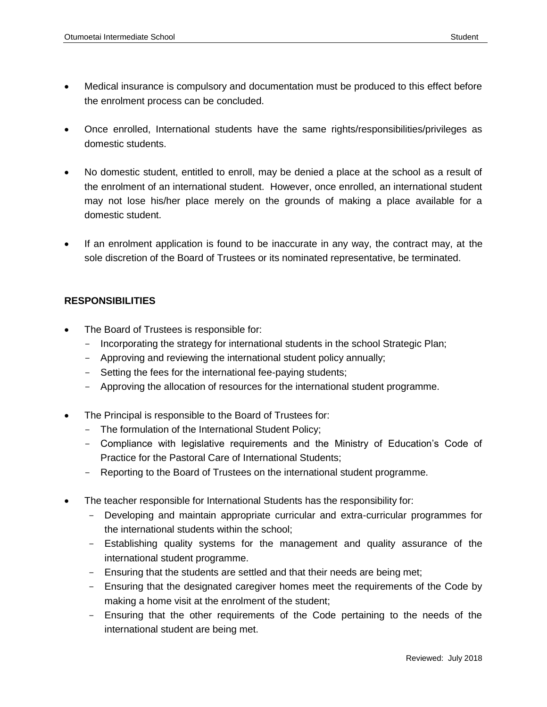- Medical insurance is compulsory and documentation must be produced to this effect before the enrolment process can be concluded.
- Once enrolled, International students have the same rights/responsibilities/privileges as domestic students.
- No domestic student, entitled to enroll, may be denied a place at the school as a result of the enrolment of an international student. However, once enrolled, an international student may not lose his/her place merely on the grounds of making a place available for a domestic student.
- If an enrolment application is found to be inaccurate in any way, the contract may, at the sole discretion of the Board of Trustees or its nominated representative, be terminated.

## **RESPONSIBILITIES**

- The Board of Trustees is responsible for:
	- Incorporating the strategy for international students in the school Strategic Plan;
	- Approving and reviewing the international student policy annually;
	- Setting the fees for the international fee-paying students;
	- Approving the allocation of resources for the international student programme.
- The Principal is responsible to the Board of Trustees for:
	- The formulation of the International Student Policy;
	- Compliance with legislative requirements and the Ministry of Education's Code of Practice for the Pastoral Care of International Students;
	- Reporting to the Board of Trustees on the international student programme.
- The teacher responsible for International Students has the responsibility for:
	- Developing and maintain appropriate curricular and extra-curricular programmes for the international students within the school;
	- Establishing quality systems for the management and quality assurance of the international student programme.
	- Ensuring that the students are settled and that their needs are being met;
	- Ensuring that the designated caregiver homes meet the requirements of the Code by making a home visit at the enrolment of the student;
	- Ensuring that the other requirements of the Code pertaining to the needs of the international student are being met.